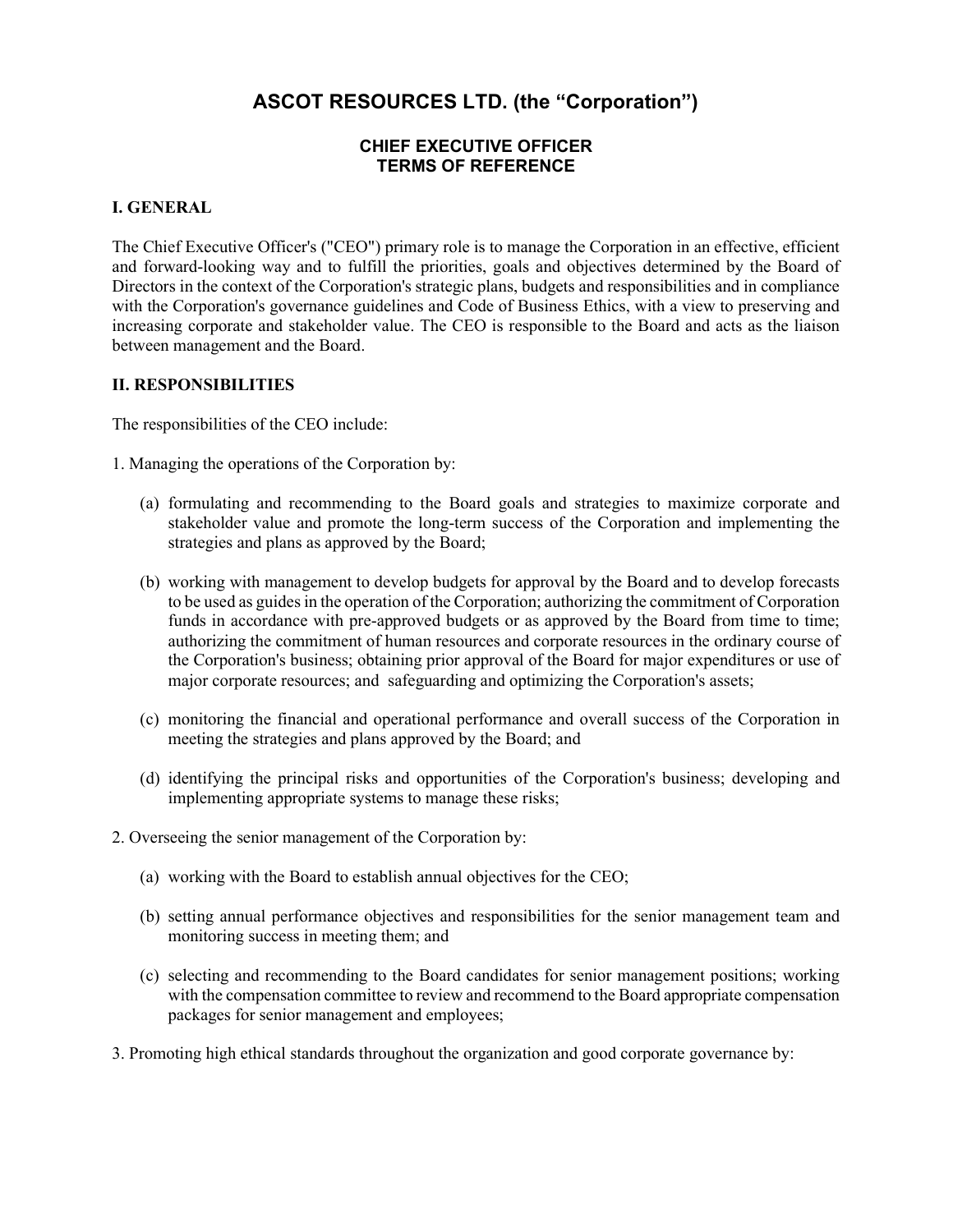## ASCOT RESOURCES LTD. (the "Corporation")

## CHIEF EXECUTIVE OFFICER TERMS OF REFERENCE

## I. GENERAL

The Chief Executive Officer's ("CEO") primary role is to manage the Corporation in an effective, efficient and forward-looking way and to fulfill the priorities, goals and objectives determined by the Board of Directors in the context of the Corporation's strategic plans, budgets and responsibilities and in compliance with the Corporation's governance guidelines and Code of Business Ethics, with a view to preserving and increasing corporate and stakeholder value. The CEO is responsible to the Board and acts as the liaison between management and the Board.

## II. RESPONSIBILITIES

The responsibilities of the CEO include:

- 1. Managing the operations of the Corporation by:
	- (a) formulating and recommending to the Board goals and strategies to maximize corporate and stakeholder value and promote the long-term success of the Corporation and implementing the strategies and plans as approved by the Board;
	- (b) working with management to develop budgets for approval by the Board and to develop forecasts to be used as guides in the operation of the Corporation; authorizing the commitment of Corporation funds in accordance with pre-approved budgets or as approved by the Board from time to time; authorizing the commitment of human resources and corporate resources in the ordinary course of the Corporation's business; obtaining prior approval of the Board for major expenditures or use of major corporate resources; and safeguarding and optimizing the Corporation's assets;
	- (c) monitoring the financial and operational performance and overall success of the Corporation in meeting the strategies and plans approved by the Board; and
	- (d) identifying the principal risks and opportunities of the Corporation's business; developing and implementing appropriate systems to manage these risks;
- 2. Overseeing the senior management of the Corporation by:
	- (a) working with the Board to establish annual objectives for the CEO;
	- (b) setting annual performance objectives and responsibilities for the senior management team and monitoring success in meeting them; and
	- (c) selecting and recommending to the Board candidates for senior management positions; working with the compensation committee to review and recommend to the Board appropriate compensation packages for senior management and employees;
- 3. Promoting high ethical standards throughout the organization and good corporate governance by: